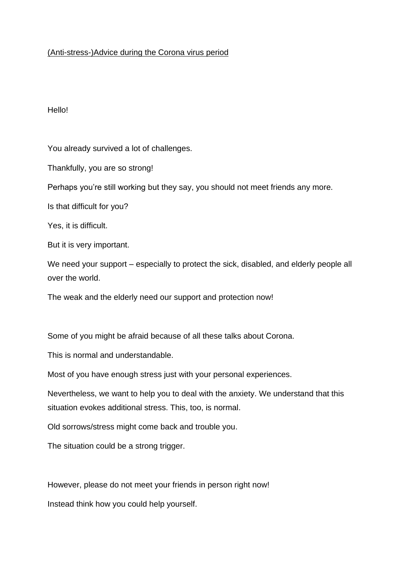## (Anti-stress-)Advice during the Corona virus period

## Hello!

You already survived a lot of challenges.

Thankfully, you are so strong!

Perhaps you're still working but they say, you should not meet friends any more.

Is that difficult for you?

Yes, it is difficult.

But it is very important.

We need your support – especially to protect the sick, disabled, and elderly people all over the world.

The weak and the elderly need our support and protection now!

Some of you might be afraid because of all these talks about Corona.

This is normal and understandable.

Most of you have enough stress just with your personal experiences.

Nevertheless, we want to help you to deal with the anxiety. We understand that this situation evokes additional stress. This, too, is normal.

Old sorrows/stress might come back and trouble you.

The situation could be a strong trigger.

However, please do not meet your friends in person right now!

Instead think how you could help yourself.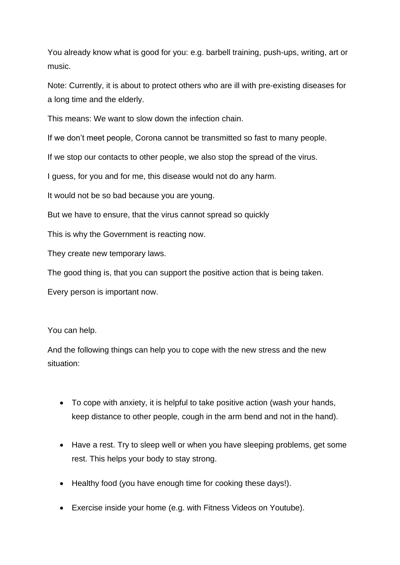You already know what is good for you: e.g. barbell training, push-ups, writing, art or music.

Note: Currently, it is about to protect others who are ill with pre-existing diseases for a long time and the elderly.

This means: We want to slow down the infection chain.

If we don't meet people, Corona cannot be transmitted so fast to many people.

If we stop our contacts to other people, we also stop the spread of the virus.

I guess, for you and for me, this disease would not do any harm.

It would not be so bad because you are young.

But we have to ensure, that the virus cannot spread so quickly

This is why the Government is reacting now.

They create new temporary laws.

The good thing is, that you can support the positive action that is being taken.

Every person is important now.

You can help.

And the following things can help you to cope with the new stress and the new situation:

- To cope with anxiety, it is helpful to take positive action (wash your hands, keep distance to other people, cough in the arm bend and not in the hand).
- Have a rest. Try to sleep well or when you have sleeping problems, get some rest. This helps your body to stay strong.
- Healthy food (you have enough time for cooking these days!).
- Exercise inside your home (e.g. with Fitness Videos on Youtube).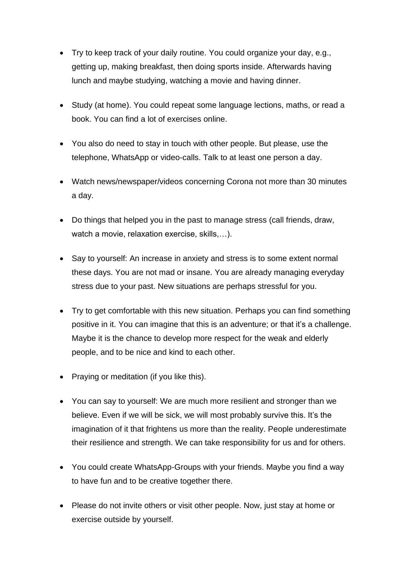- Try to keep track of your daily routine. You could organize your day, e.g., getting up, making breakfast, then doing sports inside. Afterwards having lunch and maybe studying, watching a movie and having dinner.
- Study (at home). You could repeat some language lections, maths, or read a book. You can find a lot of exercises online.
- You also do need to stay in touch with other people. But please, use the telephone, WhatsApp or video-calls. Talk to at least one person a day.
- Watch news/newspaper/videos concerning Corona not more than 30 minutes a day.
- Do things that helped you in the past to manage stress (call friends, draw, watch a movie, relaxation exercise, skills,…).
- Say to yourself: An increase in anxiety and stress is to some extent normal these days. You are not mad or insane. You are already managing everyday stress due to your past. New situations are perhaps stressful for you.
- Try to get comfortable with this new situation. Perhaps you can find something positive in it. You can imagine that this is an adventure; or that it's a challenge. Maybe it is the chance to develop more respect for the weak and elderly people, and to be nice and kind to each other.
- Praying or meditation (if you like this).
- You can say to yourself: We are much more resilient and stronger than we believe. Even if we will be sick, we will most probably survive this. It's the imagination of it that frightens us more than the reality. People underestimate their resilience and strength. We can take responsibility for us and for others.
- You could create WhatsApp-Groups with your friends. Maybe you find a way to have fun and to be creative together there.
- Please do not invite others or visit other people. Now, just stay at home or exercise outside by yourself.